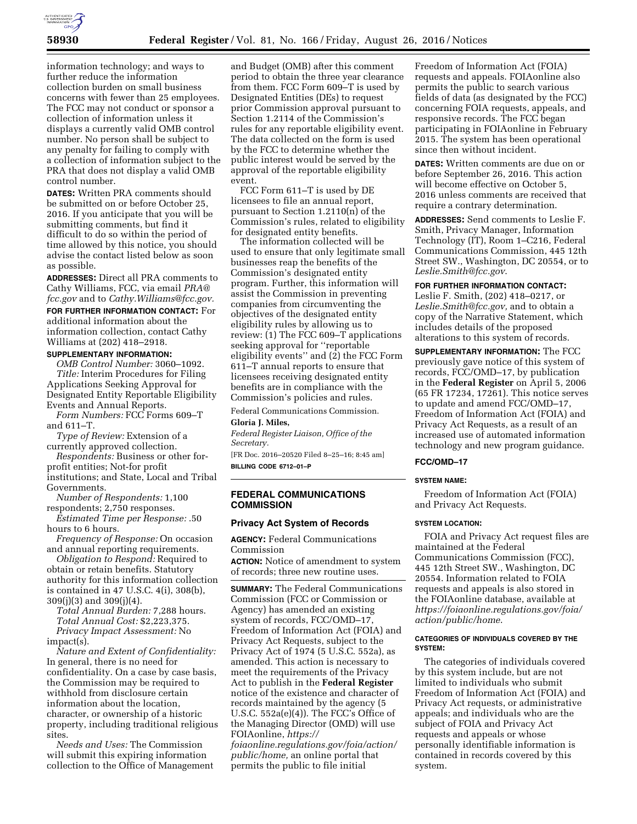

information technology; and ways to further reduce the information collection burden on small business concerns with fewer than 25 employees. The FCC may not conduct or sponsor a collection of information unless it displays a currently valid OMB control number. No person shall be subject to any penalty for failing to comply with a collection of information subject to the PRA that does not display a valid OMB control number.

**DATES:** Written PRA comments should be submitted on or before October 25, 2016. If you anticipate that you will be submitting comments, but find it difficult to do so within the period of time allowed by this notice, you should advise the contact listed below as soon as possible.

**ADDRESSES:** Direct all PRA comments to Cathy Williams, FCC, via email *[PRA@](mailto:PRA@fcc.gov) [fcc.gov](mailto:PRA@fcc.gov)* and to *[Cathy.Williams@fcc.gov.](mailto:Cathy.Williams@fcc.gov)*  **FOR FURTHER INFORMATION CONTACT:** For additional information about the information collection, contact Cathy Williams at (202) 418–2918.

# **SUPPLEMENTARY INFORMATION:**

*OMB Control Number:* 3060–1092. *Title:* Interim Procedures for Filing Applications Seeking Approval for Designated Entity Reportable Eligibility Events and Annual Reports.

*Form Numbers:* FCC Forms 609–T and 611–T.

*Type of Review:* Extension of a currently approved collection.

*Respondents:* Business or other forprofit entities; Not-for profit institutions; and State, Local and Tribal

Governments.

*Number of Respondents:* 1,100 respondents; 2,750 responses.

*Estimated Time per Response:* .50 hours to 6 hours.

*Frequency of Response:* On occasion and annual reporting requirements.

*Obligation to Respond:* Required to obtain or retain benefits. Statutory authority for this information collection is contained in 47 U.S.C. 4(i), 308(b), 309(j)(3) and 309(j)(4).

*Total Annual Burden:* 7,288 hours. *Total Annual Cost:* \$2,223,375. *Privacy Impact Assessment:* No impact(s).

*Nature and Extent of Confidentiality:*  In general, there is no need for confidentiality. On a case by case basis, the Commission may be required to withhold from disclosure certain information about the location, character, or ownership of a historic property, including traditional religious sites.

*Needs and Uses:* The Commission will submit this expiring information collection to the Office of Management

and Budget (OMB) after this comment period to obtain the three year clearance from them. FCC Form 609–T is used by Designated Entities (DEs) to request prior Commission approval pursuant to Section 1.2114 of the Commission's rules for any reportable eligibility event. The data collected on the form is used by the FCC to determine whether the public interest would be served by the approval of the reportable eligibility event.

FCC Form 611–T is used by DE licensees to file an annual report, pursuant to Section 1.2110(n) of the Commission's rules, related to eligibility for designated entity benefits.

The information collected will be used to ensure that only legitimate small businesses reap the benefits of the Commission's designated entity program. Further, this information will assist the Commission in preventing companies from circumventing the objectives of the designated entity eligibility rules by allowing us to review: (1) The FCC 609–T applications seeking approval for ''reportable eligibility events'' and (2) the FCC Form 611–T annual reports to ensure that licensees receiving designated entity benefits are in compliance with the Commission's policies and rules.

Federal Communications Commission. **Gloria J. Miles,** 

*Federal Register Liaison, Office of the Secretary.* 

[FR Doc. 2016–20520 Filed 8–25–16; 8:45 am] **BILLING CODE 6712–01–P** 

**FEDERAL COMMUNICATIONS** 

# **COMMISSION**

### **Privacy Act System of Records**

**AGENCY:** Federal Communications Commission **ACTION:** Notice of amendment to system

of records; three new routine uses.

**SUMMARY:** The Federal Communications Commission (FCC or Commission or Agency) has amended an existing system of records, FCC/OMD–17, Freedom of Information Act (FOIA) and Privacy Act Requests, subject to the Privacy Act of 1974 (5 U.S.C. 552a), as amended. This action is necessary to meet the requirements of the Privacy Act to publish in the **Federal Register**  notice of the existence and character of records maintained by the agency (5 U.S.C.  $552a(e)(4)$ ). The FCC's Office of the Managing Director (OMD) will use FOIAonline, *[https://](https://foiaonline.regulations.gov/foia/action/public/home)*

*[foiaonline.regulations.gov/foia/action/](https://foiaonline.regulations.gov/foia/action/public/home)  [public/home,](https://foiaonline.regulations.gov/foia/action/public/home)* an online portal that permits the public to file initial

Freedom of Information Act (FOIA) requests and appeals. FOIAonline also permits the public to search various fields of data (as designated by the FCC) concerning FOIA requests, appeals, and responsive records. The FCC began participating in FOIAonline in February 2015. The system has been operational since then without incident.

**DATES:** Written comments are due on or before September 26, 2016. This action will become effective on October 5, 2016 unless comments are received that require a contrary determination.

**ADDRESSES:** Send comments to Leslie F. Smith, Privacy Manager, Information Technology (IT), Room 1–C216, Federal Communications Commission, 445 12th Street SW., Washington, DC 20554, or to *[Leslie.Smith@fcc.gov](mailto:Leslie.Smith@fcc.gov)*.

# **FOR FURTHER INFORMATION CONTACT:**

Leslie F. Smith, (202) 418–0217, or *[Leslie.Smith@fcc.gov,](mailto:Leslie.Smith@fcc.gov)* and to obtain a copy of the Narrative Statement, which includes details of the proposed alterations to this system of records.

**SUPPLEMENTARY INFORMATION:** The FCC previously gave notice of this system of records, FCC/OMD–17, by publication in the **Federal Register** on April 5, 2006 (65 FR 17234, 17261). This notice serves to update and amend FCC/OMD–17, Freedom of Information Act (FOIA) and Privacy Act Requests, as a result of an increased use of automated information technology and new program guidance.

# **FCC/OMD–17**

### **SYSTEM NAME:**

Freedom of Information Act (FOIA) and Privacy Act Requests.

#### **SYSTEM LOCATION:**

FOIA and Privacy Act request files are maintained at the Federal Communications Commission (FCC), 445 12th Street SW., Washington, DC 20554. Information related to FOIA requests and appeals is also stored in the FOIAonline database, available at *[https://foiaonline.regulations.gov/foia/](https://foiaonline.regulations.gov/foia/action/public/home)  [action/public/home](https://foiaonline.regulations.gov/foia/action/public/home)*.

#### **CATEGORIES OF INDIVIDUALS COVERED BY THE SYSTEM:**

The categories of individuals covered by this system include, but are not limited to individuals who submit Freedom of Information Act (FOIA) and Privacy Act requests, or administrative appeals; and individuals who are the subject of FOIA and Privacy Act requests and appeals or whose personally identifiable information is contained in records covered by this system.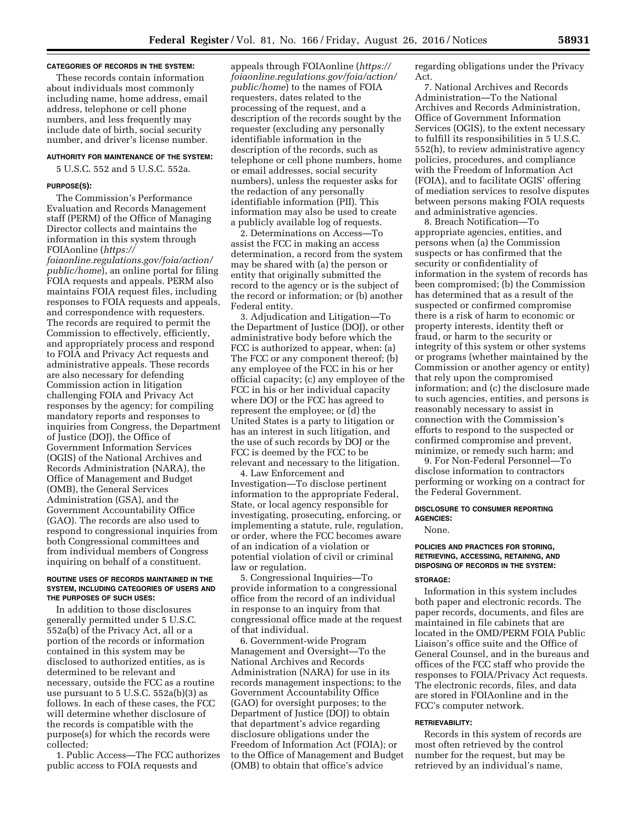#### **CATEGORIES OF RECORDS IN THE SYSTEM:**

These records contain information about individuals most commonly including name, home address, email address, telephone or cell phone numbers, and less frequently may include date of birth, social security number, and driver's license number.

# **AUTHORITY FOR MAINTENANCE OF THE SYSTEM:**

5 U.S.C. 552 and 5 U.S.C. 552a.

### **PURPOSE(S):**

The Commission's Performance Evaluation and Records Management staff (PERM) of the Office of Managing Director collects and maintains the information in this system through FOIAonline (*[https://](https://foiaonline.regulations.gov/foia/action/public/home)*

*[foiaonline.regulations.gov/foia/action/](https://foiaonline.regulations.gov/foia/action/public/home)  [public/home](https://foiaonline.regulations.gov/foia/action/public/home)*), an online portal for filing FOIA requests and appeals. PERM also maintains FOIA request files, including responses to FOIA requests and appeals, and correspondence with requesters. The records are required to permit the Commission to effectively, efficiently, and appropriately process and respond to FOIA and Privacy Act requests and administrative appeals. These records are also necessary for defending Commission action in litigation challenging FOIA and Privacy Act responses by the agency; for compiling mandatory reports and responses to inquiries from Congress, the Department of Justice (DOJ), the Office of Government Information Services (OGIS) of the National Archives and Records Administration (NARA), the Office of Management and Budget (OMB), the General Services Administration (GSA), and the Government Accountability Office (GAO). The records are also used to respond to congressional inquiries from both Congressional committees and from individual members of Congress inquiring on behalf of a constituent.

### **ROUTINE USES OF RECORDS MAINTAINED IN THE SYSTEM, INCLUDING CATEGORIES OF USERS AND THE PURPOSES OF SUCH USES:**

In addition to those disclosures generally permitted under 5 U.S.C. 552a(b) of the Privacy Act, all or a portion of the records or information contained in this system may be disclosed to authorized entities, as is determined to be relevant and necessary, outside the FCC as a routine use pursuant to 5 U.S.C. 552a(b)(3) as follows. In each of these cases, the FCC will determine whether disclosure of the records is compatible with the purpose(s) for which the records were collected:

1. Public Access—The FCC authorizes public access to FOIA requests and

appeals through FOIAonline (*[https://](https://foiaonline.regulations.gov/foia/action/public/home) [foiaonline.regulations.gov/foia/action/](https://foiaonline.regulations.gov/foia/action/public/home)  [public/home](https://foiaonline.regulations.gov/foia/action/public/home)*) to the names of FOIA requesters, dates related to the processing of the request, and a description of the records sought by the requester (excluding any personally identifiable information in the description of the records, such as telephone or cell phone numbers, home or email addresses, social security numbers), unless the requester asks for the redaction of any personally identifiable information (PII). This information may also be used to create a publicly available log of requests.

2. Determinations on Access—To assist the FCC in making an access determination, a record from the system may be shared with (a) the person or entity that originally submitted the record to the agency or is the subject of the record or information; or (b) another Federal entity.

3. Adjudication and Litigation—To the Department of Justice (DOJ), or other administrative body before which the FCC is authorized to appear, when: (a) The FCC or any component thereof; (b) any employee of the FCC in his or her official capacity; (c) any employee of the FCC in his or her individual capacity where DOJ or the FCC has agreed to represent the employee; or (d) the United States is a party to litigation or has an interest in such litigation, and the use of such records by DOJ or the FCC is deemed by the FCC to be relevant and necessary to the litigation.

4. Law Enforcement and Investigation—To disclose pertinent information to the appropriate Federal, State, or local agency responsible for investigating, prosecuting, enforcing, or implementing a statute, rule, regulation, or order, where the FCC becomes aware of an indication of a violation or potential violation of civil or criminal law or regulation.

5. Congressional Inquiries—To provide information to a congressional office from the record of an individual in response to an inquiry from that congressional office made at the request of that individual.

6. Government-wide Program Management and Oversight—To the National Archives and Records Administration (NARA) for use in its records management inspections; to the Government Accountability Office (GAO) for oversight purposes; to the Department of Justice (DOJ) to obtain that department's advice regarding disclosure obligations under the Freedom of Information Act (FOIA); or to the Office of Management and Budget (OMB) to obtain that office's advice

regarding obligations under the Privacy Act.

7. National Archives and Records Administration—To the National Archives and Records Administration, Office of Government Information Services (OGIS), to the extent necessary to fulfill its responsibilities in 5 U.S.C. 552(h), to review administrative agency policies, procedures, and compliance with the Freedom of Information Act (FOIA), and to facilitate OGIS' offering of mediation services to resolve disputes between persons making FOIA requests and administrative agencies.

8. Breach Notification—To appropriate agencies, entities, and persons when (a) the Commission suspects or has confirmed that the security or confidentiality of information in the system of records has been compromised; (b) the Commission has determined that as a result of the suspected or confirmed compromise there is a risk of harm to economic or property interests, identity theft or fraud, or harm to the security or integrity of this system or other systems or programs (whether maintained by the Commission or another agency or entity) that rely upon the compromised information; and (c) the disclosure made to such agencies, entities, and persons is reasonably necessary to assist in connection with the Commission's efforts to respond to the suspected or confirmed compromise and prevent, minimize, or remedy such harm; and

9. For Non-Federal Personnel—To disclose information to contractors performing or working on a contract for the Federal Government.

#### **DISCLOSURE TO CONSUMER REPORTING AGENCIES:**

None.

### **POLICIES AND PRACTICES FOR STORING, RETRIEVING, ACCESSING, RETAINING, AND DISPOSING OF RECORDS IN THE SYSTEM:**

#### **STORAGE:**

Information in this system includes both paper and electronic records. The paper records, documents, and files are maintained in file cabinets that are located in the OMD/PERM FOIA Public Liaison's office suite and the Office of General Counsel, and in the bureaus and offices of the FCC staff who provide the responses to FOIA/Privacy Act requests. The electronic records, files, and data are stored in FOIAonline and in the FCC's computer network.

#### **RETRIEVABILITY:**

Records in this system of records are most often retrieved by the control number for the request, but may be retrieved by an individual's name,